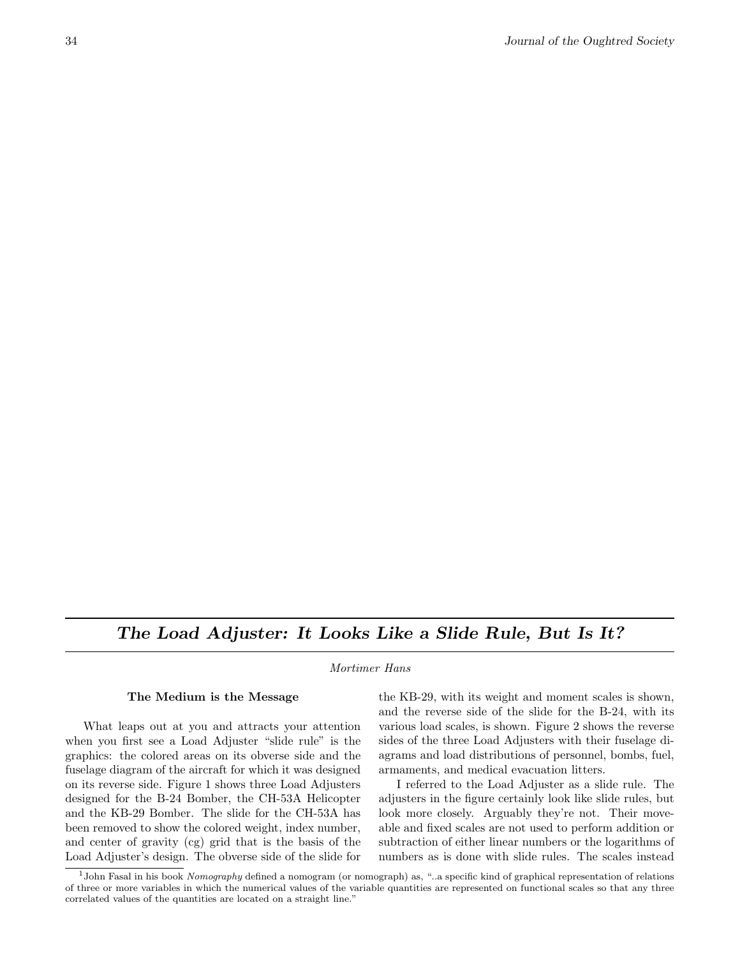# The Load Adjuster: It Looks Like a Slide Rule, But Is It?

Mortimer Hans

### The Medium is the Message

What leaps out at you and attracts your attention when you first see a Load Adjuster "slide rule" is the graphics: the colored areas on its obverse side and the fuselage diagram of the aircraft for which it was designed on its reverse side. Figure 1 shows three Load Adjusters designed for the B-24 Bomber, the CH-53A Helicopter and the KB-29 Bomber. The slide for the CH-53A has been removed to show the colored weight, index number, and center of gravity (cg) grid that is the basis of the Load Adjuster's design. The obverse side of the slide for the KB-29, with its weight and moment scales is shown, and the reverse side of the slide for the B-24, with its various load scales, is shown. Figure 2 shows the reverse sides of the three Load Adjusters with their fuselage diagrams and load distributions of personnel, bombs, fuel, armaments, and medical evacuation litters.

I referred to the Load Adjuster as a slide rule. The adjusters in the figure certainly look like slide rules, but look more closely. Arguably they're not. Their moveable and fixed scales are not used to perform addition or subtraction of either linear numbers or the logarithms of numbers as is done with slide rules. The scales instead

<sup>&</sup>lt;sup>1</sup>John Fasal in his book Nomography defined a nomogram (or nomograph) as, "..a specific kind of graphical representation of relations of three or more variables in which the numerical values of the variable quantities are represented on functional scales so that any three correlated values of the quantities are located on a straight line."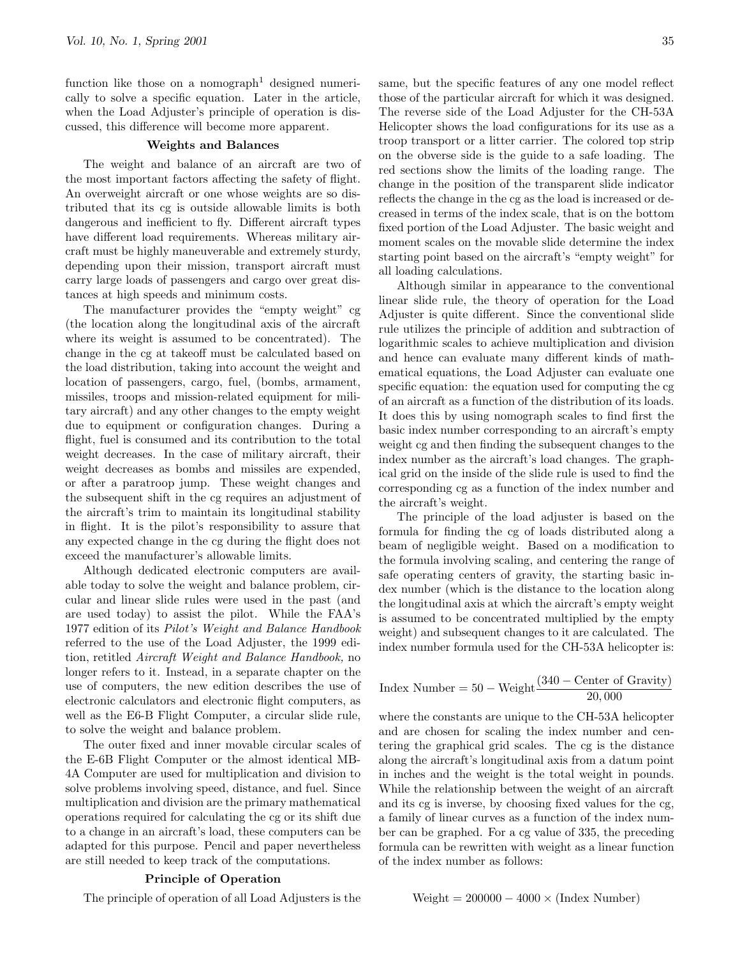function like those on a nomograph<sup>1</sup> designed numerically to solve a specific equation. Later in the article, when the Load Adjuster's principle of operation is discussed, this difference will become more apparent.

## Weights and Balances

The weight and balance of an aircraft are two of the most important factors affecting the safety of flight. An overweight aircraft or one whose weights are so distributed that its cg is outside allowable limits is both dangerous and inefficient to fly. Different aircraft types have different load requirements. Whereas military aircraft must be highly maneuverable and extremely sturdy, depending upon their mission, transport aircraft must carry large loads of passengers and cargo over great distances at high speeds and minimum costs.

The manufacturer provides the "empty weight" cg (the location along the longitudinal axis of the aircraft where its weight is assumed to be concentrated). The change in the cg at takeoff must be calculated based on the load distribution, taking into account the weight and location of passengers, cargo, fuel, (bombs, armament, missiles, troops and mission-related equipment for military aircraft) and any other changes to the empty weight due to equipment or configuration changes. During a flight, fuel is consumed and its contribution to the total weight decreases. In the case of military aircraft, their weight decreases as bombs and missiles are expended, or after a paratroop jump. These weight changes and the subsequent shift in the cg requires an adjustment of the aircraft's trim to maintain its longitudinal stability in flight. It is the pilot's responsibility to assure that any expected change in the cg during the flight does not exceed the manufacturer's allowable limits.

Although dedicated electronic computers are available today to solve the weight and balance problem, circular and linear slide rules were used in the past (and are used today) to assist the pilot. While the FAA's 1977 edition of its Pilot's Weight and Balance Handbook referred to the use of the Load Adjuster, the 1999 edition, retitled Aircraft Weight and Balance Handbook, no longer refers to it. Instead, in a separate chapter on the use of computers, the new edition describes the use of electronic calculators and electronic flight computers, as well as the E6-B Flight Computer, a circular slide rule, to solve the weight and balance problem.

The outer fixed and inner movable circular scales of the E-6B Flight Computer or the almost identical MB-4A Computer are used for multiplication and division to solve problems involving speed, distance, and fuel. Since multiplication and division are the primary mathematical operations required for calculating the cg or its shift due to a change in an aircraft's load, these computers can be adapted for this purpose. Pencil and paper nevertheless are still needed to keep track of the computations.

# Principle of Operation

The principle of operation of all Load Adjusters is the

same, but the specific features of any one model reflect those of the particular aircraft for which it was designed. The reverse side of the Load Adjuster for the CH-53A Helicopter shows the load configurations for its use as a troop transport or a litter carrier. The colored top strip on the obverse side is the guide to a safe loading. The red sections show the limits of the loading range. The change in the position of the transparent slide indicator reflects the change in the cg as the load is increased or decreased in terms of the index scale, that is on the bottom fixed portion of the Load Adjuster. The basic weight and moment scales on the movable slide determine the index starting point based on the aircraft's "empty weight" for all loading calculations.

Although similar in appearance to the conventional linear slide rule, the theory of operation for the Load Adjuster is quite different. Since the conventional slide rule utilizes the principle of addition and subtraction of logarithmic scales to achieve multiplication and division and hence can evaluate many different kinds of mathematical equations, the Load Adjuster can evaluate one specific equation: the equation used for computing the cg of an aircraft as a function of the distribution of its loads. It does this by using nomograph scales to find first the basic index number corresponding to an aircraft's empty weight cg and then finding the subsequent changes to the index number as the aircraft's load changes. The graphical grid on the inside of the slide rule is used to find the corresponding cg as a function of the index number and the aircraft's weight.

The principle of the load adjuster is based on the formula for finding the cg of loads distributed along a beam of negligible weight. Based on a modification to the formula involving scaling, and centering the range of safe operating centers of gravity, the starting basic index number (which is the distance to the location along the longitudinal axis at which the aircraft's empty weight is assumed to be concentrated multiplied by the empty weight) and subsequent changes to it are calculated. The index number formula used for the CH-53A helicopter is:

$$
Index Number = 50 - Weight \frac{(340 - Center of Gravity)}{20,000}
$$

where the constants are unique to the CH-53A helicopter and are chosen for scaling the index number and centering the graphical grid scales. The cg is the distance along the aircraft's longitudinal axis from a datum point in inches and the weight is the total weight in pounds. While the relationship between the weight of an aircraft and its cg is inverse, by choosing fixed values for the cg, a family of linear curves as a function of the index number can be graphed. For a cg value of 335, the preceding formula can be rewritten with weight as a linear function of the index number as follows:

$$
Weight = 200000 - 4000 \times (Index Number)
$$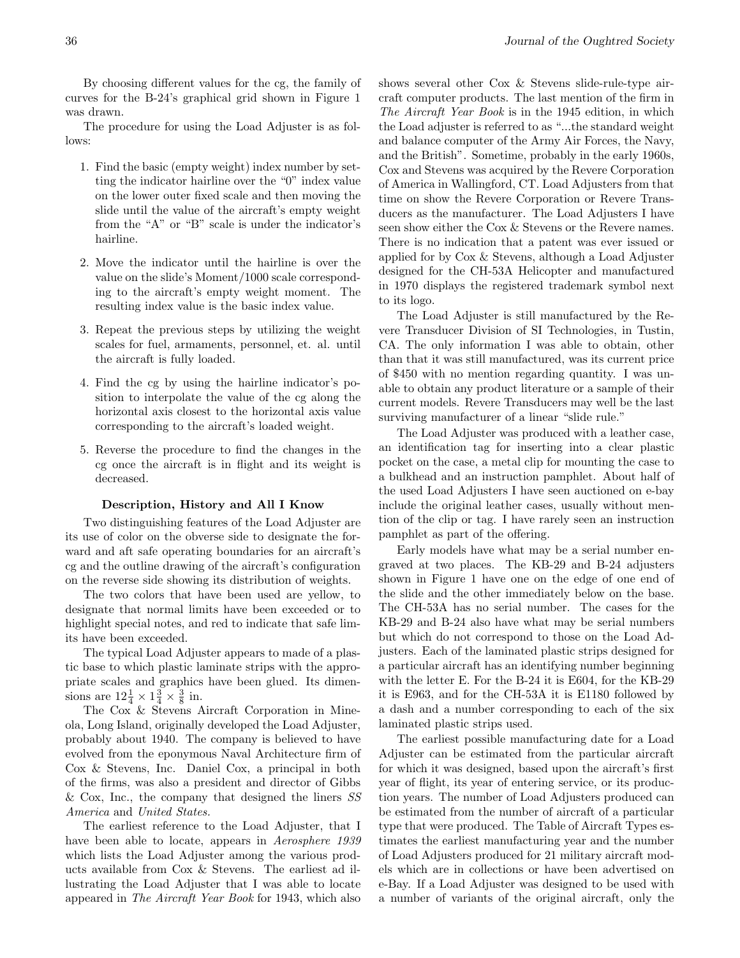By choosing different values for the cg, the family of curves for the B-24's graphical grid shown in Figure 1 was drawn.

The procedure for using the Load Adjuster is as follows:

- 1. Find the basic (empty weight) index number by setting the indicator hairline over the "0" index value on the lower outer fixed scale and then moving the slide until the value of the aircraft's empty weight from the "A" or "B" scale is under the indicator's hairline.
- 2. Move the indicator until the hairline is over the value on the slide's Moment/1000 scale corresponding to the aircraft's empty weight moment. The resulting index value is the basic index value.
- 3. Repeat the previous steps by utilizing the weight scales for fuel, armaments, personnel, et. al. until the aircraft is fully loaded.
- 4. Find the cg by using the hairline indicator's position to interpolate the value of the cg along the horizontal axis closest to the horizontal axis value corresponding to the aircraft's loaded weight.
- 5. Reverse the procedure to find the changes in the cg once the aircraft is in flight and its weight is decreased.

### Description, History and All I Know

Two distinguishing features of the Load Adjuster are its use of color on the obverse side to designate the forward and aft safe operating boundaries for an aircraft's cg and the outline drawing of the aircraft's configuration on the reverse side showing its distribution of weights.

The two colors that have been used are yellow, to designate that normal limits have been exceeded or to highlight special notes, and red to indicate that safe limits have been exceeded.

The typical Load Adjuster appears to made of a plastic base to which plastic laminate strips with the appropriate scales and graphics have been glued. Its dimensions are  $12\frac{1}{4} \times 1\frac{3}{4} \times \frac{3}{8}$  in.

The Cox & Stevens Aircraft Corporation in Mineola, Long Island, originally developed the Load Adjuster, probably about 1940. The company is believed to have evolved from the eponymous Naval Architecture firm of Cox & Stevens, Inc. Daniel Cox, a principal in both of the firms, was also a president and director of Gibbs & Cox, Inc., the company that designed the liners SS America and United States.

The earliest reference to the Load Adjuster, that I have been able to locate, appears in Aerosphere 1939 which lists the Load Adjuster among the various products available from Cox & Stevens. The earliest ad illustrating the Load Adjuster that I was able to locate appeared in The Aircraft Year Book for 1943, which also

shows several other Cox & Stevens slide-rule-type aircraft computer products. The last mention of the firm in The Aircraft Year Book is in the 1945 edition, in which the Load adjuster is referred to as "...the standard weight and balance computer of the Army Air Forces, the Navy, and the British". Sometime, probably in the early 1960s, Cox and Stevens was acquired by the Revere Corporation of America in Wallingford, CT. Load Adjusters from that time on show the Revere Corporation or Revere Transducers as the manufacturer. The Load Adjusters I have seen show either the Cox & Stevens or the Revere names. There is no indication that a patent was ever issued or applied for by Cox & Stevens, although a Load Adjuster designed for the CH-53A Helicopter and manufactured in 1970 displays the registered trademark symbol next to its logo.

The Load Adjuster is still manufactured by the Revere Transducer Division of SI Technologies, in Tustin, CA. The only information I was able to obtain, other than that it was still manufactured, was its current price of \$450 with no mention regarding quantity. I was unable to obtain any product literature or a sample of their current models. Revere Transducers may well be the last surviving manufacturer of a linear "slide rule."

The Load Adjuster was produced with a leather case, an identification tag for inserting into a clear plastic pocket on the case, a metal clip for mounting the case to a bulkhead and an instruction pamphlet. About half of the used Load Adjusters I have seen auctioned on e-bay include the original leather cases, usually without mention of the clip or tag. I have rarely seen an instruction pamphlet as part of the offering.

Early models have what may be a serial number engraved at two places. The KB-29 and B-24 adjusters shown in Figure 1 have one on the edge of one end of the slide and the other immediately below on the base. The CH-53A has no serial number. The cases for the KB-29 and B-24 also have what may be serial numbers but which do not correspond to those on the Load Adjusters. Each of the laminated plastic strips designed for a particular aircraft has an identifying number beginning with the letter E. For the B-24 it is E604, for the KB-29 it is E963, and for the CH-53A it is E1180 followed by a dash and a number corresponding to each of the six laminated plastic strips used.

The earliest possible manufacturing date for a Load Adjuster can be estimated from the particular aircraft for which it was designed, based upon the aircraft's first year of flight, its year of entering service, or its production years. The number of Load Adjusters produced can be estimated from the number of aircraft of a particular type that were produced. The Table of Aircraft Types estimates the earliest manufacturing year and the number of Load Adjusters produced for 21 military aircraft models which are in collections or have been advertised on e-Bay. If a Load Adjuster was designed to be used with a number of variants of the original aircraft, only the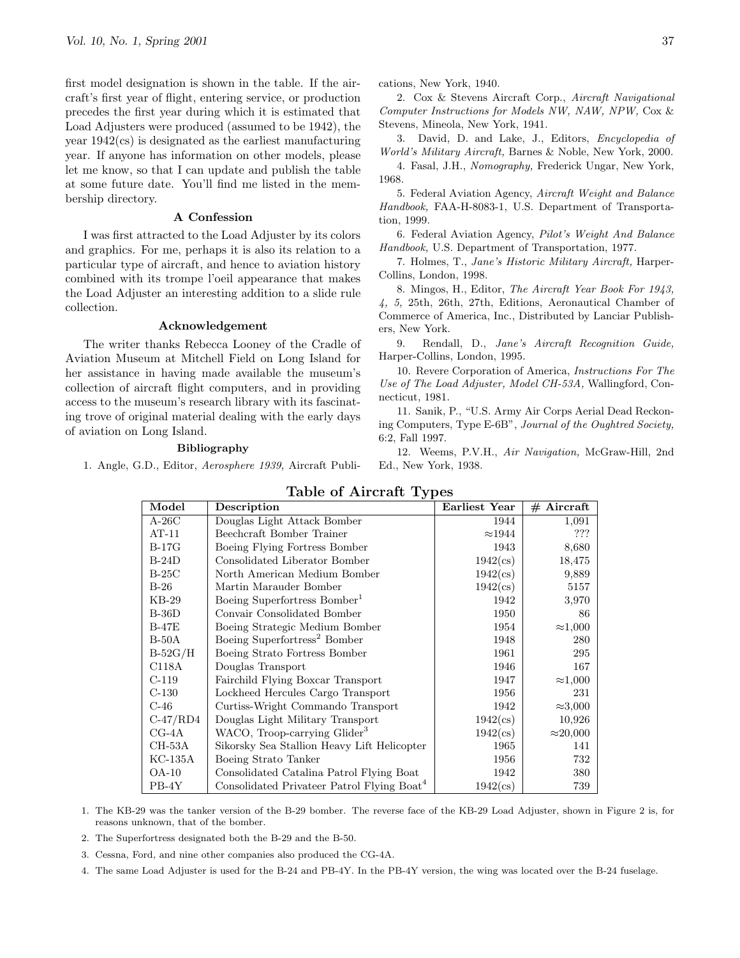first model designation is shown in the table. If the aircraft's first year of flight, entering service, or production precedes the first year during which it is estimated that Load Adjusters were produced (assumed to be 1942), the year 1942(cs) is designated as the earliest manufacturing year. If anyone has information on other models, please let me know, so that I can update and publish the table at some future date. You'll find me listed in the membership directory.

#### A Confession

I was first attracted to the Load Adjuster by its colors and graphics. For me, perhaps it is also its relation to a particular type of aircraft, and hence to aviation history combined with its trompe l'oeil appearance that makes the Load Adjuster an interesting addition to a slide rule collection.

### Acknowledgement

The writer thanks Rebecca Looney of the Cradle of Aviation Museum at Mitchell Field on Long Island for her assistance in having made available the museum's collection of aircraft flight computers, and in providing access to the museum's research library with its fascinating trove of original material dealing with the early days of aviation on Long Island.

#### Bibliography

1. Angle, G.D., Editor, Aerosphere 1939, Aircraft Publi-

cations, New York, 1940.

2. Cox & Stevens Aircraft Corp., Aircraft Navigational Computer Instructions for Models NW, NAW, NPW, Cox & Stevens, Mineola, New York, 1941.

3. David, D. and Lake, J., Editors, Encyclopedia of World's Military Aircraft, Barnes & Noble, New York, 2000.

4. Fasal, J.H., Nomography, Frederick Ungar, New York, 1968.

5. Federal Aviation Agency, Aircraft Weight and Balance Handbook, FAA-H-8083-1, U.S. Department of Transportation, 1999.

6. Federal Aviation Agency, Pilot's Weight And Balance Handbook, U.S. Department of Transportation, 1977.

7. Holmes, T., Jane's Historic Military Aircraft, Harper-Collins, London, 1998.

8. Mingos, H., Editor, The Aircraft Year Book For 1943, 4, 5, 25th, 26th, 27th, Editions, Aeronautical Chamber of Commerce of America, Inc., Distributed by Lanciar Publishers, New York.

9. Rendall, D., Jane's Aircraft Recognition Guide, Harper-Collins, London, 1995.

10. Revere Corporation of America, Instructions For The Use of The Load Adjuster, Model CH-53A, Wallingford, Connecticut, 1981.

11. Sanik, P., "U.S. Army Air Corps Aerial Dead Reckoning Computers, Type E-6B", Journal of the Oughtred Society, 6:2, Fall 1997.

12. Weems, P.V.H., Air Navigation, McGraw-Hill, 2nd Ed., New York, 1938.

| Model      | $\alpha \sim 10^{-11}$<br>Description                  | Earliest Year     | $#$ Aircraft     |
|------------|--------------------------------------------------------|-------------------|------------------|
| $A-26C$    | Douglas Light Attack Bomber                            | 1944              | 1,091            |
| $AT-11$    | Beechcraft Bomber Trainer                              | $\approx$ 1944    | ???              |
| $B-17G$    | Boeing Flying Fortress Bomber                          | 1943              | 8,680            |
| $B-24D$    | Consolidated Liberator Bomber                          | $1942(\text{cs})$ | 18,475           |
| $B-25C$    | North American Medium Bomber                           | $1942(\text{cs})$ | 9,889            |
| $B-26$     | Martin Marauder Bomber                                 | $1942(\text{cs})$ | 5157             |
| $KB-29$    | Boeing Superfortress Bomber <sup>1</sup>               | 1942              | 3,970            |
| $B-36D$    | Convair Consolidated Bomber                            | 1950              | 86               |
| $B-47E$    | Boeing Strategic Medium Bomber                         | 1954              | $\approx$ 1,000  |
| $B-50A$    | Boeing Superfortress <sup>2</sup> Bomber               | 1948              | 280              |
| $B-52G/H$  | Boeing Strato Fortress Bomber                          | 1961              | 295              |
| C118A      | Douglas Transport                                      | 1946              | 167              |
| $C-119$    | Fairchild Flying Boxcar Transport                      | 1947              | $\approx 1,000$  |
| $C-130$    | Lockheed Hercules Cargo Transport                      | 1956              | 231              |
| $C-46$     | Curtiss-Wright Commando Transport                      | 1942              | $\approx 3,000$  |
| $C-47/RD4$ | Douglas Light Military Transport                       | $1942$ (cs)       | 10,926           |
| $CG-4A$    | WACO, Troop-carrying Glider <sup>3</sup>               | $1942(\text{cs})$ | $\approx$ 20,000 |
| CH-53A     | Sikorsky Sea Stallion Heavy Lift Helicopter            | 1965              | 141              |
| KC-135A    | Boeing Strato Tanker                                   | 1956              | 732              |
| $OA-10$    | Consolidated Catalina Patrol Flying Boat               | 1942              | 380              |
| $PB-4Y$    | Consolidated Privateer Patrol Flying Boat <sup>4</sup> | $1942(\text{cs})$ | 739              |

Table of Aircraft Types

1. The KB-29 was the tanker version of the B-29 bomber. The reverse face of the KB-29 Load Adjuster, shown in Figure 2 is, for reasons unknown, that of the bomber.

2. The Superfortress designated both the B-29 and the B-50.

3. Cessna, Ford, and nine other companies also produced the CG-4A.

4. The same Load Adjuster is used for the B-24 and PB-4Y. In the PB-4Y version, the wing was located over the B-24 fuselage.